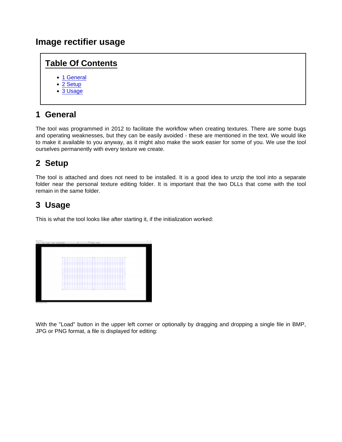#### Image rectifier usage

#### Table Of Contents

- [1 Genera](https://www.lotus-simulator.de/lexikon/index.php?entry/251-image-rectifier-usage/#1-General)l
- [2 Setup](https://www.lotus-simulator.de/lexikon/index.php?entry/251-image-rectifier-usage/#2-Setup)
- [3 Usage](https://www.lotus-simulator.de/lexikon/index.php?entry/251-image-rectifier-usage/#3-Usage)

# 1 General

The tool was programmed in 2012 to facilitate the workflow when creating textures. There are some bugs and operating weaknesses, but they can be easily avoided - these are mentioned in the text. We would like to make it available to you anyway, as it might also make the work easier for some of you. We use the tool ourselves permanently with every texture we create.

### 2 Setup

The tool is attached and does not need to be installed. It is a good idea to unzip the tool into a separate folder near the personal texture editing folder. It is important that the two DLLs that come with the tool remain in the same folder.

# 3 Usage

This is what the tool looks like after starting it, if the initialization worked:

With the "Load" button in the upper left corner or optionally by dragging and dropping a single file in BMP, JPG or PNG format, a file is displayed for editing: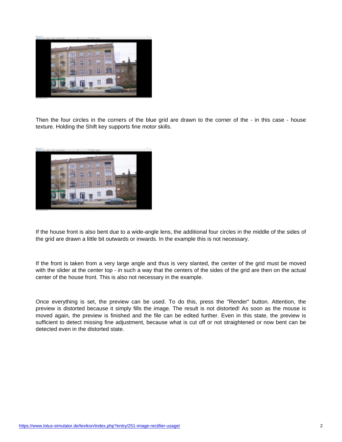Then the four circles in the corners of the blue grid are drawn to the corner of the - in this case - house texture. Holding the Shift key supports fine motor skills.

If the house front is also bent due to a wide-angle lens, the additional four circles in the middle of the sides of the grid are drawn a little bit outwards or inwards. In the example this is not necessary.

If the front is taken from a very large angle and thus is very slanted, the center of the grid must be moved with the slider at the center top - in such a way that the centers of the sides of the grid are then on the actual center of the house front. This is also not necessary in the example.

Once everything is set, the preview can be used. To do this, press the "Render" button. Attention, the preview is distorted because it simply fills the image. The result is not distorted! As soon as the mouse is moved again, the preview is finished and the file can be edited further. Even in this state, the preview is sufficient to detect missing fine adjustment, because what is cut off or not straightened or now bent can be detected even in the distorted state.